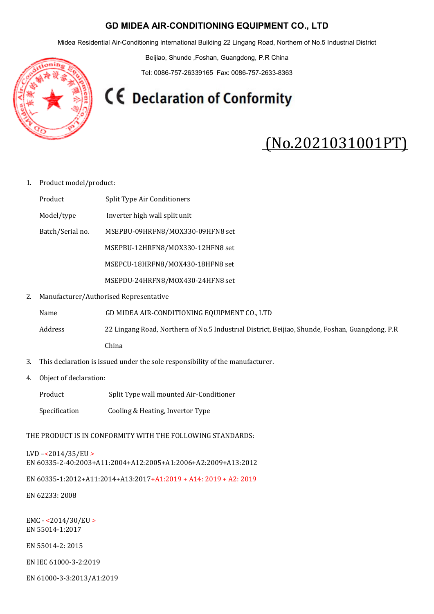## GD MIDEA AIR-CONDITIONING EQUIPMENT CO., LTD

Midea Residential Air-Conditioning International Building 22 Lingang Road, Northern of No.5 Industrıal District

Beijiao, Shunde ,Foshan, Guangdong, P.R China

Tel: 0086-757-26339165 Fax: 0086-757-2633-8363

**CE** Declaration of Conformity

## (No.2021031001PT)

## 1. Product model/product:

Product Split Type Air Conditioners

- Model/type Inverter high wall split unit
- Batch/Serial no. MSEPBU-09HRFN8/MOX330-09HFN8 set

MSEPBU-12HRFN8/MOX330-12HFN8 set

MSEPCU-18HRFN8/MOX430-18HFN8 set

MSEPDU-24HRFN8/MOX430-24HFN8 set

2. Manufacturer/Authorised Representative

Name GD MIDEA AIR-CONDITIONING EQUIPMENT CO., LTD

Address 22 Lingang Road, Northern of No.5 Industrıal District, Beijiao, Shunde, Foshan, Guangdong, P.R China

- 3. This declaration is issued under the sole responsibility of the manufacturer.
- 4. Object of declaration:
	- Product Split Type wall mounted Air-Conditioner
	- Specification Cooling & Heating, Invertor Type

THE PRODUCT IS IN CONFORMITY WITH THE FOLLOWING STANDARDS:

LVD –<2014/35/EU > EN 60335-2-40:2003+A11:2004+A12:2005+A1:2006+A2:2009+A13:2012

EN 60335-1:2012+A11:2014+A13:2017+A1:2019 + A14: 2019 + A2: 2019

EN 62233: 2008

EMC - <2014/30/EU > EN 55014-1:2017

EN 55014-2: 2015

EN IEC 61000-3-2:2019

EN 61000-3-3:2013/A1:2019